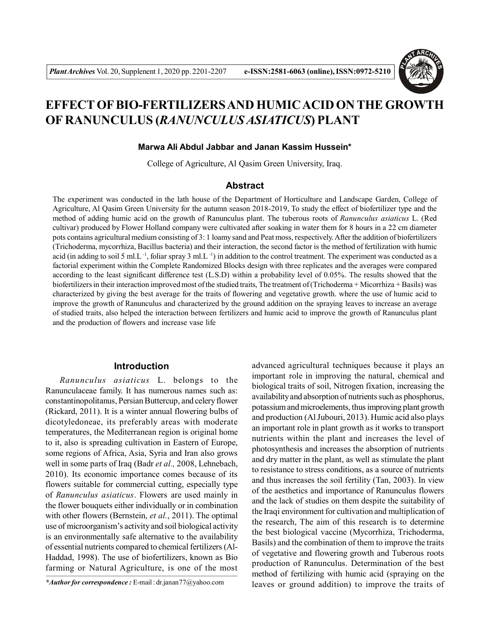

# **EFFECT OF BIO-FERTILIZERS AND HUMIC ACID ON THE GROWTH OF RANUNCULUS (***RANUNCULUS ASIATICUS***) PLANT**

#### **Marwa Ali Abdul Jabbar and Janan Kassim Hussein\***

College of Agriculture, Al Qasim Green University, Iraq.

#### **Abstract**

The experiment was conducted in the lath house of the Department of Horticulture and Landscape Garden, College of Agriculture, Al Qasim Green University for the autumn season 2018-2019, To study the effect of biofertilizer type and the method of adding humic acid on the growth of Ranunculus plant. The tuberous roots of *Ranunculus asiaticus* L. (Red cultivar) produced by Flower Holland company were cultivated after soaking in water them for 8 hours in a 22 cm diameter pots contains agricultural medium consisting of 3: 1 loamy sand and Peat moss, respectively. After the addition of biofertilizers (Trichoderma, mycorrhiza, Bacillus bacteria) and their interaction, the second factor is the method of fertilization with humic acid (in adding to soil 5 ml.L<sup>-1</sup>, foliar spray 3 ml.L<sup>-1</sup>) in addition to the control treatment. The experiment was conducted as a factorial experiment within the Complete Randomized Blocks design with three replicates and the averages were compared according to the least significant difference test (L.S.D) within a probability level of 0.05%. The results showed that the biofertilizers in their interaction improved most of the studied traits, The treatment of (Trichoderma + Micorrhiza + Basils) was characterized by giving the best average for the traits of flowering and vegetative growth. where the use of humic acid to improve the growth of Ranunculus and characterized by the ground addition on the spraying leaves to increase an average of studied traits, also helped the interaction between fertilizers and humic acid to improve the growth of Ranunculus plant and the production of flowers and increase vase life

#### **Introduction**

*Ranunculus asiaticus* L. belongs to the Ranunculaceae family. It has numerous names such as: constantinopolitanus, Persian Buttercup, and celery flower (Rickard, 2011). It is a winter annual flowering bulbs of dicotyledoneae, its preferably areas with moderate temperatures, the Mediterranean region is original home to it, also is spreading cultivation in Eastern of Europe, some regions of Africa, Asia, Syria and Iran also grows well in some parts of Iraq (Badr *et al.,* 2008, Lehnebach, 2010). Its economic importance comes because of its flowers suitable for commercial cutting, especially type of *Ranunculus asiaticus*. Flowers are used mainly in the flower bouquets either individually or in combination with other flowers (Bernstein, *et al.*, 2011). The optimal use of microorganism's activity and soil biological activity is an environmentally safe alternative to the availability of essential nutrients compared to chemical fertilizers (Al-Haddad, 1998). The use of biofertilizers, known as Bio farming or Natural Agriculture, is one of the most advanced agricultural techniques because it plays an important role in improving the natural, chemical and biological traits of soil, Nitrogen fixation, increasing the availability and absorption of nutrients such as phosphorus, potassium and microelements, thus improving plant growth and production (Al Jubouri, 2013). Humic acid also plays an important role in plant growth as it works to transport nutrients within the plant and increases the level of photosynthesis and increases the absorption of nutrients and dry matter in the plant, as well as stimulate the plant to resistance to stress conditions, as a source of nutrients and thus increases the soil fertility (Tan, 2003). In view of the aesthetics and importance of Ranunculus flowers and the lack of studies on them despite the suitability of the Iraqi environment for cultivation and multiplication of the research, The aim of this research is to determine the best biological vaccine (Mycorrhiza, Trichoderma, Basils) and the combination of them to improve the traits of vegetative and flowering growth and Tuberous roots production of Ranunculus. Determination of the best method of fertilizing with humic acid (spraying on the leaves or ground addition) to improve the traits of

*<sup>\*</sup>Author for correspondence :* E-mail : dr.janan77@yahoo.com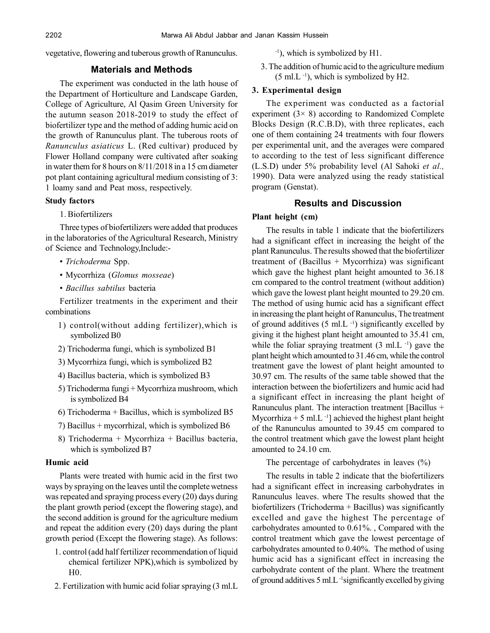vegetative, flowering and tuberous growth of Ranunculus.

# **Materials and Methods**

The experiment was conducted in the lath house of the Department of Horticulture and Landscape Garden, College of Agriculture, Al Qasim Green University for the autumn season 2018-2019 to study the effect of biofertilizer type and the method of adding humic acid on the growth of Ranunculus plant. The tuberous roots of *Ranunculus asiaticus* L. (Red cultivar) produced by Flower Holland company were cultivated after soaking in water them for 8 hours on 8/11/2018 in a 15 cm diameter pot plant containing agricultural medium consisting of 3: 1 loamy sand and Peat moss, respectively.

## **Study factors**

1. Biofertilizers

Three types of biofertilizers were added that produces in the laboratories of the Agricultural Research, Ministry of Science and Technology,Include:-

- *Trichoderma* Spp.
- Mycorrhiza (*Glomus mosseae*)
- *Bacillus sabtilus* bacteria

Fertilizer treatments in the experiment and their combinations

- 1) control(without adding fertilizer),which is symbolized B0
- 2) Trichoderma fungi, which is symbolized B1
- 3) Mycorrhiza fungi, which is symbolized B2
- 4) Bacillus bacteria, which is symbolized B3
- 5) Trichoderma fungi + Mycorrhiza mushroom, which is symbolized B4
- 6) Trichoderma + Bacillus, which is symbolized B5
- 7) Bacillus + mycorrhizal, which is symbolized B6
- 8) Trichoderma + Mycorrhiza + Bacillus bacteria, which is symbolized B7

#### **Humic acid**

Plants were treated with humic acid in the first two ways by spraying on the leaves until the complete wetness was repeated and spraying process every (20) days during the plant growth period (except the flowering stage), and the second addition is ground for the agriculture medium and repeat the addition every (20) days during the plant growth period (Except the flowering stage). As follows:

- 1. control (add half fertilizer recommendation of liquid chemical fertilizer NPK),which is symbolized by H0.
- 2. Fertilization with humic acid foliar spraying (3 ml.L

-1), which is symbolized by H1.

3. The addition of humic acid to the agriculture medium  $(5 \text{ ml.} L^{-1})$ , which is symbolized by H2.

## **3. Experimental design**

The experiment was conducted as a factorial experiment  $(3 \times 8)$  according to Randomized Complete Blocks Design (R.C.B.D), with three replicates, each one of them containing 24 treatments with four flowers per experimental unit, and the averages were compared to according to the test of less significant difference (L.S.D) under 5% probability level (Al Sahoki *et al.,* 1990). Data were analyzed using the ready statistical program (Genstat).

# **Results and Discussion**

#### **Plant height (cm)**

The results in table 1 indicate that the biofertilizers had a significant effect in increasing the height of the plant Ranunculus. The results showed that the biofertilizer treatment of  $(Bacillus + Mycorrhiza)$  was significant which gave the highest plant height amounted to 36.18 cm compared to the control treatment (without addition) which gave the lowest plant height mounted to 29.20 cm. The method of using humic acid has a significant effect in increasing the plant height of Ranunculus, The treatment of ground additives  $(5 \text{ ml. L}^{-1})$  significantly excelled by giving it the highest plant height amounted to 35.41 cm, while the foliar spraying treatment  $(3 \text{ ml. L}^{-1})$  gave the plant height which amounted to 31.46 cm, while the control treatment gave the lowest of plant height amounted to 30.97 cm. The results of the same table showed that the interaction between the biofertilizers and humic acid had a significant effect in increasing the plant height of Ranunculus plant. The interaction treatment [Bacillus + Mycorrhiza + 5 ml.L $^{-1}$ ] achieved the highest plant height of the Ranunculus amounted to 39.45 cm compared to the control treatment which gave the lowest plant height amounted to 24.10 cm.

The percentage of carbohydrates in leaves (%)

The results in table 2 indicate that the biofertilizers had a significant effect in increasing carbohydrates in Ranunculus leaves. where The results showed that the biofertilizers (Trichoderma + Bacillus) was significantly excelled and gave the highest The percentage of carbohydrates amounted to 0.61%. , Compared with the control treatment which gave the lowest percentage of carbohydrates amounted to 0.40%. The method of using humic acid has a significant effect in increasing the carbohydrate content of the plant. Where the treatment of ground additives 5 ml.L -1significantly excelled by giving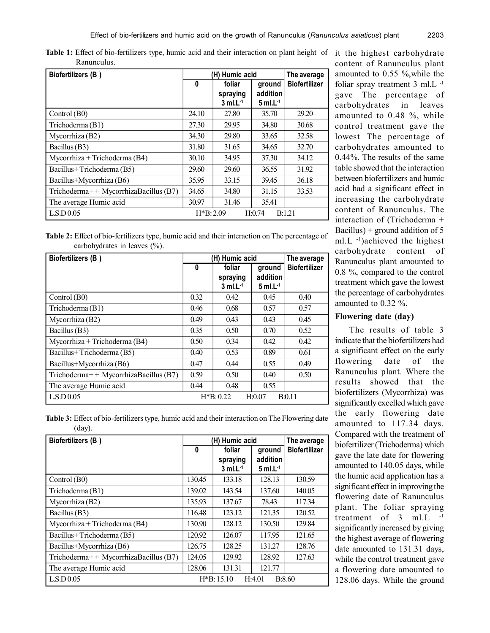| Biofertilizers (B)                    |            | (H) Humic acid         |                  | The average          |
|---------------------------------------|------------|------------------------|------------------|----------------------|
|                                       | 0          | foliar                 | ground           | <b>Biofertilizer</b> |
|                                       |            | spraying               | addition         |                      |
|                                       |            | $3$ ml.L <sup>-1</sup> | $5$ ml.L $^{-1}$ |                      |
| Control (B0)                          | 24.10      | 27.80                  | 35.70            | 29.20                |
| Trichoderma (B1)                      | 27.30      | 29.95                  | 34.80            | 30.68                |
| Mycorrhiza (B2)                       | 34.30      | 29.80                  | 33.65            | 32.58                |
| Bacillus (B3)                         | 31.80      | 31.65                  | 34.65            | 32.70                |
| Mycorrhiza + Trichoderma (B4)         | 30.10      | 34.95                  | 37.30            | 34.12                |
| Bacillus+Trichoderma (B5)             | 29.60      | 29.60                  | 36.55            | 31.92                |
| Bacillus+Mycorrhiza (B6)              | 35.95      | 33.15                  | 39.45            | 36.18                |
| Trichoderma++ MycorrhizaBacillus (B7) | 34.65      | 34.80                  | 31.15            | 33.53                |
| The average Humic acid                | 30.97      | 31.46                  | 35.41            |                      |
| L.S.D.0.05                            | $H*B:2.09$ |                        | H:0.74           | B:1.21               |

Table 1: Effect of bio-fertilizers type, humic acid and their interaction on plant height of it the highest carbohydrate Ranunculus.

|                                 | <b>Table 2:</b> Effect of bio-fertilizers type, humic acid and their interaction on The percentage of |
|---------------------------------|-------------------------------------------------------------------------------------------------------|
| carbohydrates in leaves $(\%).$ |                                                                                                       |

| Biofertilizers (B)                    |      | (H) Humic acid                               |                                              |                      |  |
|---------------------------------------|------|----------------------------------------------|----------------------------------------------|----------------------|--|
|                                       | 0    | foliar<br>spraying<br>$3$ ml.L <sup>-1</sup> | ground<br>addition<br>$5$ ml.L <sup>-1</sup> | <b>Biofertilizer</b> |  |
| Control (B0)                          | 0.32 | 0.42                                         | 0.45                                         | 0.40                 |  |
| Trichoderma (B1)                      | 0.46 | 0.68                                         | 0.57                                         | 0.57                 |  |
| Mycorrhiza (B2)                       | 0.49 | 0.43                                         | 0.43                                         | 0.45                 |  |
| Bacillus (B3)                         | 0.35 | 0.50                                         | 0.70                                         | 0.52                 |  |
| Mycorrhiza + Trichoderma (B4)         | 0.50 | 0.34                                         | 0.42                                         | 0.42                 |  |
| Bacillus+Trichoderma (B5)             | 0.40 | 0.53                                         | 0.89                                         | 0.61                 |  |
| Bacillus+Mycorrhiza (B6)              | 0.47 | 0.44                                         | 0.55                                         | 0.49                 |  |
| Trichoderma++ MycorrhizaBacillus (B7) | 0.59 | 0.50                                         | 0.40                                         | 0.50                 |  |
| The average Humic acid                | 0.44 | 0.48                                         | 0.55                                         |                      |  |
| L.S.D 0.05                            |      | $H*B: 0.22$                                  | H:0.07                                       | B:0.11               |  |

content of Ranunculus plant amounted to 0.55 %,while the foliar spray treatment 3 ml.L -1 gave The percentage of carbohydrates in leaves amounted to 0.48 %, while control treatment gave the lowest The percentage of carbohydrates amounted to 0.44%. The results of the same table showed that the interaction between biofertilizers and humic acid had a significant effect in increasing the carbohydrate content of Ranunculus. The interaction of (Trichoderma + Bacillus) + ground addition of  $5$ ml.  $L^{-1}$ ) achieved the highest carbohydrate content of Ranunculus plant amounted to 0.8 %, compared to the control treatment which gave the lowest the percentage of carbohydrates amounted to 0.32 %.

# **Flowering date (day)**

The results of table 3 indicate that the biofertilizers had a significant effect on the early flowering date of the Ranunculus plant. Where the results showed that the biofertilizers (Mycorrhiza) was significantly excelled which gave the early flowering date amounted to 117.34 days. Compared with the treatment of biofertilizer (Trichoderma) which gave the late date for flowering amounted to 140.05 days, while the humic acid application has a significant effect in improving the flowering date of Ranunculus plant. The foliar spraying treatment of 3 ml.L significantly increased by giving the highest average of flowering date amounted to 131.31 days, while the control treatment gave a flowering date amounted to 128.06 days. While the ground

|                  | Table 3: Effect of bio-fertilizers type, humic acid and their interaction on The Flowering date |
|------------------|-------------------------------------------------------------------------------------------------|
| $\frac{day}{}$ . |                                                                                                 |

| Biofertilizers (B)                      | (H) Humic acid | The average            |                        |                      |
|-----------------------------------------|----------------|------------------------|------------------------|----------------------|
|                                         | 0              | foliar<br>spraying     | ground<br>addition     | <b>Biofertilizer</b> |
|                                         |                | $3$ ml.L <sup>-1</sup> | $5$ ml.L <sup>-1</sup> |                      |
| Control $(B0)$                          | 130.45         | 133.18                 | 128.13                 | 130.59               |
| Trichoderma (B1)                        | 139.02         | 143.54                 | 137.60                 | 140.05               |
| Mycorrhiza (B2)                         | 135.93         | 137.67                 | 78.43                  | 117.34               |
| Bacillus (B3)                           | 116.48         | 123.12                 | 121.35                 | 120.52               |
| Mycorrhiza + Trichoderma (B4)           | 130.90         | 128.12                 | 130.50                 | 129.84               |
| Bacillus+Trichoderma (B5)               | 120.92         | 126.07                 | 117.95                 | 121.65               |
| Bacillus+Mycorrhiza (B6)                | 126.75         | 128.25                 | 131.27                 | 128.76               |
| Trichoderma++ MycorrhizaBacillus $(B7)$ | 124.05         | 129.92                 | 128.92                 | 127.63               |
| The average Humic acid                  | 128.06         | 131.31                 | 121.77                 |                      |
| LSD 0.05                                |                | $H*B: 15.10$           | H:4.01                 | B:8.60               |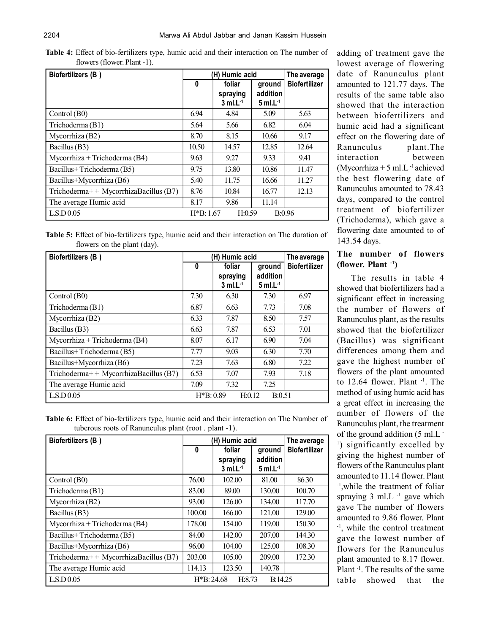| <b>Table 4:</b> Effect of bio-fertilizers type, humic acid and their interaction on The number of |  |  |  |  |
|---------------------------------------------------------------------------------------------------|--|--|--|--|
| flowers (flower. Plant -1).                                                                       |  |  |  |  |

| Biofertilizers (B)                    |            | (H) Humic acid                               |                                              |                      |  |
|---------------------------------------|------------|----------------------------------------------|----------------------------------------------|----------------------|--|
|                                       | 0          | foliar<br>spraying<br>$3$ ml.L <sup>-1</sup> | ground<br>addition<br>$5$ ml.L <sup>-1</sup> | <b>Biofertilizer</b> |  |
| Control (B0)                          | 6.94       | 4.84                                         | 5.09                                         | 5.63                 |  |
| Trichoderma (B1)                      | 5.64       | 5.66                                         | 6.82                                         | 6.04                 |  |
| Mycorrhiza (B2)                       | 8.70       | 8.15                                         | 10.66                                        | 9.17                 |  |
| Bacillus (B3)                         | 10.50      | 14.57                                        | 12.85                                        | 12.64                |  |
| Mycorrhiza + Trichoderma (B4)         | 9.63       | 9.27                                         | 9.33                                         | 9.41                 |  |
| Bacillus+Trichoderma (B5)             | 9.75       | 13.80                                        | 10.86                                        | 11.47                |  |
| Bacillus+Mycorrhiza (B6)              | 5.40       | 11.75                                        | 16.66                                        | 11.27                |  |
| Trichoderma++ MycorrhizaBacillus (B7) | 8.76       | 10.84                                        | 16.77                                        | 12.13                |  |
| The average Humic acid                | 8.17       | 9.86                                         | 11.14                                        |                      |  |
| L.S.D 0.05                            | $H*B:1.67$ | H:0.59                                       |                                              | B:0.96               |  |

**Table 5:** Effect of bio-fertilizers type, humic acid and their interaction on The duration of flowers on the plant (day).

| Biofertilizers (B)                    | (H) Humic acid |                        |                        | The average          |
|---------------------------------------|----------------|------------------------|------------------------|----------------------|
|                                       | 0              | foliar                 | ground                 | <b>Biofertilizer</b> |
|                                       |                | spraying               | addition               |                      |
|                                       |                | $3$ ml.L <sup>-1</sup> | $5$ ml.L <sup>-1</sup> |                      |
| Control (B0)                          | 7.30           | 6.30                   | 7.30                   | 6.97                 |
| Trichoderma (B1)                      | 6.87           | 6.63                   | 7.73                   | 7.08                 |
| Mycorrhiza (B2)                       | 6.33           | 7.87                   | 8.50                   | 7.57                 |
| Bacillus (B3)                         | 6.63           | 7.87                   | 6.53                   | 7.01                 |
| Mycorrhiza + Trichoderma (B4)         | 8.07           | 6.17                   | 6.90                   | 7.04                 |
| Bacillus+Trichoderma (B5)             | 7.77           | 9.03                   | 6.30                   | 7.70                 |
| Bacillus+Mycorrhiza (B6)              | 7.23           | 7.63                   | 6.80                   | 7.22                 |
| Trichoderma++ MycorrhizaBacillus (B7) | 6.53           | 7.07                   | 7.93                   | 7.18                 |
| The average Humic acid                | 7.09           | 7.32                   | 7.25                   |                      |
| L.S.D 0.05                            | $H*B: 0.89$    | H:0.12                 | B:0.51                 |                      |

**Table 6:** Effect of bio-fertilizers type, humic acid and their interaction on The Number of tuberous roots of Ranunculus plant (root . plant -1).

| Biofertilizers (B)                      |              | (H) Humic acid<br>The average |                  |                      |  |
|-----------------------------------------|--------------|-------------------------------|------------------|----------------------|--|
|                                         | $\bf{0}$     | foliar                        | ground           | <b>Biofertilizer</b> |  |
|                                         |              | spraying                      | addition         |                      |  |
|                                         |              | $3$ ml.L <sup>-1</sup>        | $5$ ml.L $^{-1}$ |                      |  |
| Control $(B0)$                          | 76.00        | 102.00                        | 81.00            | 86.30                |  |
| Trichoderma (B1)                        | 83.00        | 89.00                         | 130.00           | 100.70               |  |
| Mycorrhiza (B2)                         | 93.00        | 126.00                        | 134.00           | 117.70               |  |
| Bacillus (B3)                           | 100.00       | 166.00                        | 121.00           | 129.00               |  |
| Mycorrhiza + Trichoderma $(B4)$         | 178.00       | 154.00                        | 119.00           | 150.30               |  |
| Bacillus+Trichoderma (B5)               | 84.00        | 142.00                        | 207.00           | 144.30               |  |
| Bacillus+Mycorrhiza (B6)                | 96.00        | 104.00                        | 125.00           | 108.30               |  |
| Trichoderma++ MycorrhizaBacillus $(B7)$ | 203.00       | 105.00                        | 209.00           | 172.30               |  |
| The average Humic acid                  | 114.13       | 123.50                        | 140.78           |                      |  |
| LSD0.05                                 | $H*B: 24.68$ | H:8.73                        | B:14.25          |                      |  |

adding of treatment gave the lowest average of flowering date of Ranunculus plant amounted to 121.77 days. The results of the same table also showed that the interaction between biofertilizers and humic acid had a significant effect on the flowering date of Ranunculus plant.The interaction between (Mycorrhiza + 5 ml.L $^{-1}$  achieved the best flowering date of Ranunculus amounted to 78.43 days, compared to the control treatment of biofertilizer (Trichoderma), which gave a flowering date amounted to of 143.54 days.

# **The number of flowers (flower. Plant -1)**

The results in table 4 showed that biofertilizers had a significant effect in increasing the number of flowers of Ranunculus plant, as the results showed that the biofertilizer (Bacillus) was significant differences among them and gave the highest number of flowers of the plant amounted to 12.64 flower. Plant <sup>-1</sup>. The method of using humic acid has a great effect in increasing the number of flowers of the Ranunculus plant, the treatment of the ground addition (5 ml.L - <sup>1</sup>) significantly excelled by giving the highest number of flowers of the Ranunculus plant amounted to 11.14 flower. Plant -1,while the treatment of foliar spraying  $3 \text{ ml}$ . L<sup>-1</sup> gave which gave The number of flowers amounted to 9.86 flower. Plant -1, while the control treatment gave the lowest number of flowers for the Ranunculus plant amounted to 8.17 flower. Plant -1. The results of the same table showed that the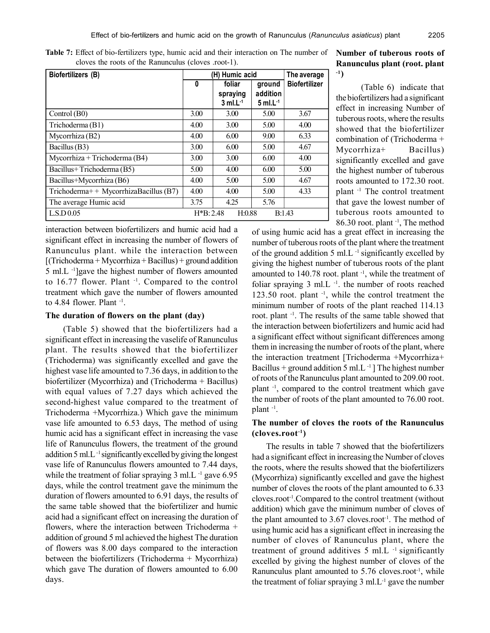| Biofertilizers (B)                    | (H) Humic acid | The average            |                        |                      |
|---------------------------------------|----------------|------------------------|------------------------|----------------------|
|                                       | 0              | foliar                 | ground                 | <b>Biofertilizer</b> |
|                                       |                | spraying               | addition               |                      |
|                                       |                | $3$ ml.L <sup>-1</sup> | $5$ ml.L <sup>-1</sup> |                      |
| Control (B0)                          | 3.00           | 3.00                   | 5.00                   | 3.67                 |
| Trichoderma (B1)                      | 4.00           | 3.00                   | 5.00                   | 4.00                 |
| Mycorrhiza (B2)                       | 4.00           | 6.00                   | 9.00                   | 6.33                 |
| Bacillus (B3)                         | 3.00           | 6.00                   | 5.00                   | 4.67                 |
| Mycorrhiza + Trichoderma $(B4)$       | 3.00           | 3.00                   | 6.00                   | 4.00                 |
| Bacillus+Trichoderma (B5)             | 5.00           | 4.00                   | 6.00                   | 5.00                 |
| Bacillus+Mycorrhiza (B6)              | 4.00           | 5.00                   | 5.00                   | 4.67                 |
| Trichoderma++ MycorrhizaBacillus (B7) | 4.00           | 4.00                   | 5.00                   | 4.33                 |
| The average Humic acid                | 3.75           | 4.25                   | 5.76                   |                      |
| L.S.D.0.05                            | $H*B: 2.48$    | H:0.88                 | B:1.43                 |                      |

**Table 7:** Effect of bio-fertilizers type, humic acid and their interaction on The number of cloves the roots of the Ranunculus (cloves .root-1).

interaction between biofertilizers and humic acid had a significant effect in increasing the number of flowers of Ranunculus plant. while the interaction between  $[(Trichoderna + Mycorrhiza + Bacillus) + ground addition$ 5 ml.L -1]gave the highest number of flowers amounted to 16.77 flower. Plant -1. Compared to the control treatment which gave the number of flowers amounted to  $4.84$  flower. Plant  $^{-1}$ .

#### **The duration of flowers on the plant (day)**

 (Table 5) showed that the biofertilizers had a significant effect in increasing the vaselife of Ranunculus plant. The results showed that the biofertilizer (Trichoderma) was significantly excelled and gave the highest vase life amounted to 7.36 days, in addition to the biofertilizer (Mycorrhiza) and (Trichoderma + Bacillus) with equal values of 7.27 days which achieved the second-highest value compared to the treatment of Trichoderma +Mycorrhiza.) Which gave the minimum vase life amounted to 6.53 days, The method of using humic acid has a significant effect in increasing the vase life of Ranunculus flowers, the treatment of the ground addition 5 ml.L -1 significantly excelled by giving the longest vase life of Ranunculus flowers amounted to 7.44 days, while the treatment of foliar spraying  $3 \text{ ml.L}$ <sup>-1</sup> gave  $6.95$ days, while the control treatment gave the minimum the duration of flowers amounted to 6.91 days, the results of the same table showed that the biofertilizer and humic acid had a significant effect on increasing the duration of flowers, where the interaction between Trichoderma + addition of ground 5 ml achieved the highest The duration of flowers was 8.00 days compared to the interaction between the biofertilizers (Trichoderma + Mycorrhiza) which gave The duration of flowers amounted to 6.00 days.

# **Number of tuberous roots of Ranunculus plant (root. plant -1)**

(Table 6) indicate that the biofertilizers had a significant effect in increasing Number of tuberous roots, where the results showed that the biofertilizer combination of (Trichoderma + Mycorrhiza+ Bacillus) significantly excelled and gave the highest number of tuberous roots amounted to 172.30 root. plant -1 The control treatment that gave the lowest number of tuberous roots amounted to 86.30 root. plant -1, The method

of using humic acid has a great effect in increasing the number of tuberous roots of the plant where the treatment of the ground addition  $5 \text{ ml.L}^{-1}$  significantly excelled by giving the highest number of tuberous roots of the plant amounted to 140.78 root. plant<sup>-1</sup>, while the treatment of foliar spraying  $3 \text{ ml.}$  L<sup>-1</sup>. the number of roots reached 123.50 root. plant -1, while the control treatment the minimum number of roots of the plant reached 114.13 root. plant -1. The results of the same table showed that the interaction between biofertilizers and humic acid had a significant effect without significant differences among them in increasing the number of roots of the plant, where the interaction treatment [Trichoderma +Mycorrhiza+ Bacillus + ground addition 5 ml.L $^{-1}$ ] The highest number of roots of the Ranunculus plant amounted to 209.00 root. plant -1, compared to the control treatment which gave the number of roots of the plant amounted to 76.00 root. plant -1 .

# **The number of cloves the roots of the Ranunculus (cloves.root-1)**

The results in table 7 showed that the biofertilizers had a significant effect in increasing the Number of cloves the roots, where the results showed that the biofertilizers (Mycorrhiza) significantly excelled and gave the highest number of cloves the roots of the plant amounted to 6.33 cloves.root-1.Compared to the control treatment (without addition) which gave the minimum number of cloves of the plant amounted to  $3.67$  cloves.root<sup>-1</sup>. The method of using humic acid has a significant effect in increasing the number of cloves of Ranunculus plant, where the treatment of ground additives 5 ml.L<sup>-1</sup> significantly excelled by giving the highest number of cloves of the Ranunculus plant amounted to  $5.76$  cloves.root<sup>-1</sup>, while the treatment of foliar spraying 3 ml.L<sup>-1</sup> gave the number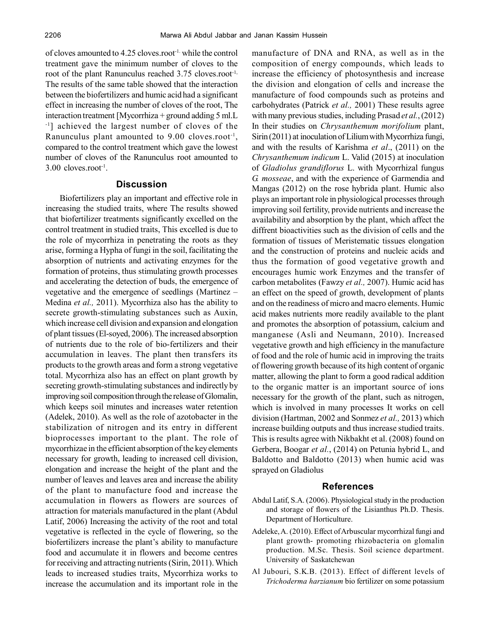of cloves amounted to 4.25 cloves.root-1. while the control treatment gave the minimum number of cloves to the root of the plant Ranunculus reached 3.75 cloves.root<sup>-1,</sup> The results of the same table showed that the interaction between the biofertilizers and humic acid had a significant effect in increasing the number of cloves of the root, The interaction treatment [Mycorrhiza + ground adding 5 ml.L -1] achieved the largest number of cloves of the Ranunculus plant amounted to 9.00 cloves.root<sup>-1</sup>, compared to the control treatment which gave the lowest number of cloves of the Ranunculus root amounted to 3.00 cloves.root-1 .

# **Discussion**

Biofertilizers play an important and effective role in increasing the studied traits, where The results showed that biofertilizer treatments significantly excelled on the control treatment in studied traits, This excelled is due to the role of mycorrhiza in penetrating the roots as they arise, forming a Hypha of fungi in the soil, facilitating the absorption of nutrients and activating enzymes for the formation of proteins, thus stimulating growth processes and accelerating the detection of buds, the emergence of vegetative and the emergence of seedlings (Martinez – Medina *et al.,* 2011). Mycorrhiza also has the ability to secrete growth-stimulating substances such as Auxin, which increase cell division and expansion and elongation of plant tissues (El-soyed, 2006). The increased absorption of nutrients due to the role of bio-fertilizers and their accumulation in leaves. The plant then transfers its products to the growth areas and form a strong vegetative total. Mycorrhiza also has an effect on plant growth by secreting growth-stimulating substances and indirectly by improving soil composition through the release of Glomalin, which keeps soil minutes and increases water retention (Adelek, 2010). As well as the role of azotobacter in the stabilization of nitrogen and its entry in different bioprocesses important to the plant. The role of mycorrhizae in the efficient absorption of the key elements necessary for growth, leading to increased cell division, elongation and increase the height of the plant and the number of leaves and leaves area and increase the ability of the plant to manufacture food and increase the accumulation in flowers as flowers are sources of attraction for materials manufactured in the plant (Abdul Latif, 2006) Increasing the activity of the root and total vegetative is reflected in the cycle of flowering, so the biofertilizers increase the plant's ability to manufacture food and accumulate it in flowers and become centres for receiving and attracting nutrients (Sirin, 2011). Which leads to increased studies traits, Mycorrhiza works to increase the accumulation and its important role in the

manufacture of DNA and RNA, as well as in the composition of energy compounds, which leads to increase the efficiency of photosynthesis and increase the division and elongation of cells and increase the manufacture of food compounds such as proteins and carbohydrates (Patrick *et al.,* 2001) These results agree with many previous studies, including Prasad *et al.*, (2012) In their studies on *Chrysanthemum morifolium* plant, Sirin (2011) at inoculation of Lilium with Mycorrhiza fungi, and with the results of Karishma *et al*., (2011) on the *Chrysanthemum indicum* L. Valid (2015) at inoculation of *Gladiolus grandiflorus* L. with Mycorrhizal fungus *G. mosseae*, and with the experience of Garmendia and Mangas (2012) on the rose hybrida plant. Humic also plays an important role in physiological processes through improving soil fertility, provide nutrients and increase the availability and absorption by the plant, which affect the diffrent bioactivities such as the division of cells and the formation of tissues of Meristematic tissues elongation and the construction of proteins and nucleic acids and thus the formation of good vegetative growth and encourages humic work Enzymes and the transfer of carbon metabolites (Fawzy *et al.,* 2007). Humic acid has an effect on the speed of growth, development of plants and on the readiness of micro and macro elements. Humic acid makes nutrients more readily available to the plant and promotes the absorption of potassium, calcium and manganese (Asli and Neumann, 2010). Increased vegetative growth and high efficiency in the manufacture of food and the role of humic acid in improving the traits of flowering growth because of its high content of organic matter, allowing the plant to form a good radical addition to the organic matter is an important source of ions necessary for the growth of the plant, such as nitrogen, which is involved in many processes It works on cell division (Hartman, 2002 and Sonmez *et al.,* 2013) which increase building outputs and thus increase studied traits. This is results agree with Nikbakht et al. (2008) found on Gerbera, Boogar *et al.*, (2014) on Petunia hybrid L, and Baldotto and Baldotto (2013) when humic acid was sprayed on Gladiolus

#### **References**

- Abdul Latif, S.A. (2006). Physiological study in the production and storage of flowers of the Lisianthus Ph.D. Thesis. Department of Horticulture.
- Adeleke, A. (2010). Effect of Arbuscular mycorrhizal fungi and plant growth- promoting rhizobacteria on glomalin production. M.Sc. Thesis. Soil science department. University of Saskatchewan
- Al Jubouri, S.K.B. (2013). Effect of different levels of *Trichoderma harzianum* bio fertilizer on some potassium